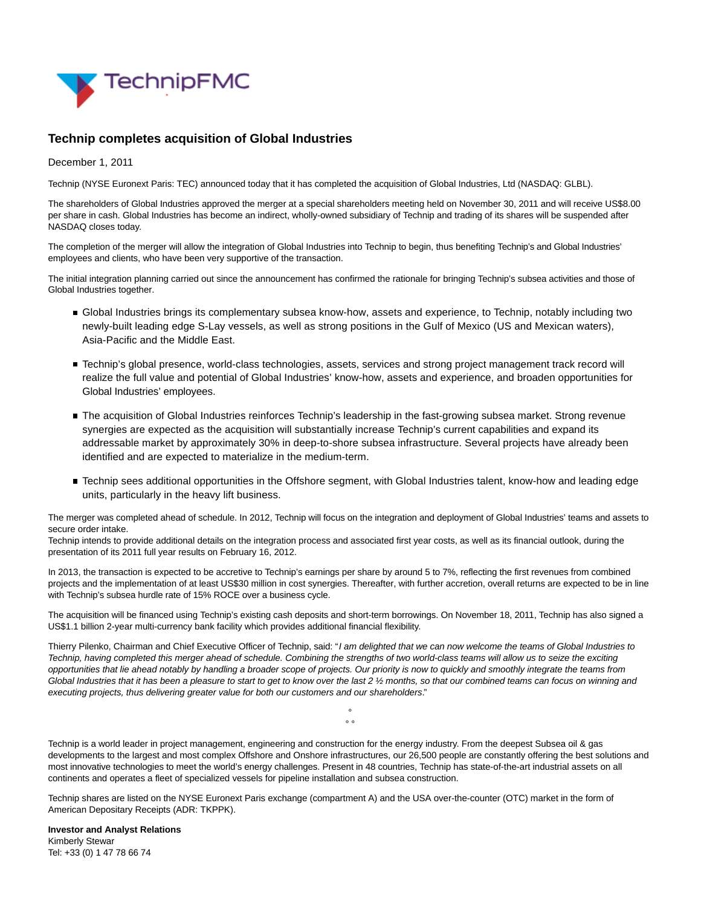

## **Technip completes acquisition of Global Industries**

December 1, 2011

Technip (NYSE Euronext Paris: TEC) announced today that it has completed the acquisition of Global Industries, Ltd (NASDAQ: GLBL).

The shareholders of Global Industries approved the merger at a special shareholders meeting held on November 30, 2011 and will receive US\$8.00 per share in cash. Global Industries has become an indirect, wholly-owned subsidiary of Technip and trading of its shares will be suspended after NASDAQ closes today.

The completion of the merger will allow the integration of Global Industries into Technip to begin, thus benefiting Technip's and Global Industries' employees and clients, who have been very supportive of the transaction.

The initial integration planning carried out since the announcement has confirmed the rationale for bringing Technip's subsea activities and those of Global Industries together.

- Global Industries brings its complementary subsea know-how, assets and experience, to Technip, notably including two newly-built leading edge S-Lay vessels, as well as strong positions in the Gulf of Mexico (US and Mexican waters), Asia-Pacific and the Middle East.
- Technip's global presence, world-class technologies, assets, services and strong project management track record will realize the full value and potential of Global Industries' know-how, assets and experience, and broaden opportunities for Global Industries' employees.
- The acquisition of Global Industries reinforces Technip's leadership in the fast-growing subsea market. Strong revenue synergies are expected as the acquisition will substantially increase Technip's current capabilities and expand its addressable market by approximately 30% in deep-to-shore subsea infrastructure. Several projects have already been identified and are expected to materialize in the medium-term.
- Technip sees additional opportunities in the Offshore segment, with Global Industries talent, know-how and leading edge units, particularly in the heavy lift business.

The merger was completed ahead of schedule. In 2012, Technip will focus on the integration and deployment of Global Industries' teams and assets to secure order intake.

Technip intends to provide additional details on the integration process and associated first year costs, as well as its financial outlook, during the presentation of its 2011 full year results on February 16, 2012.

In 2013, the transaction is expected to be accretive to Technip's earnings per share by around 5 to 7%, reflecting the first revenues from combined projects and the implementation of at least US\$30 million in cost synergies. Thereafter, with further accretion, overall returns are expected to be in line with Technip's subsea hurdle rate of 15% ROCE over a business cycle.

The acquisition will be financed using Technip's existing cash deposits and short-term borrowings. On November 18, 2011, Technip has also signed a US\$1.1 billion 2-year multi-currency bank facility which provides additional financial flexibility.

Thierry Pilenko, Chairman and Chief Executive Officer of Technip, said: "I am delighted that we can now welcome the teams of Global Industries to Technip, having completed this merger ahead of schedule. Combining the strengths of two world-class teams will allow us to seize the exciting opportunities that lie ahead notably by handling a broader scope of projects. Our priority is now to quickly and smoothly integrate the teams from Global Industries that it has been a pleasure to start to get to know over the last 2 1/2 months, so that our combined teams can focus on winning and executing projects, thus delivering greater value for both our customers and our shareholders."

Technip is a world leader in project management, engineering and construction for the energy industry. From the deepest Subsea oil & gas developments to the largest and most complex Offshore and Onshore infrastructures, our 26,500 people are constantly offering the best solutions and most innovative technologies to meet the world's energy challenges. Present in 48 countries, Technip has state-of-the-art industrial assets on all continents and operates a fleet of specialized vessels for pipeline installation and subsea construction.

°  $\circ$ 

Technip shares are listed on the NYSE Euronext Paris exchange (compartment A) and the USA over-the-counter (OTC) market in the form of American Depositary Receipts (ADR: TKPPK).

**Investor and Analyst Relations** Kimberly Stewar Tel: +33 (0) 1 47 78 66 74